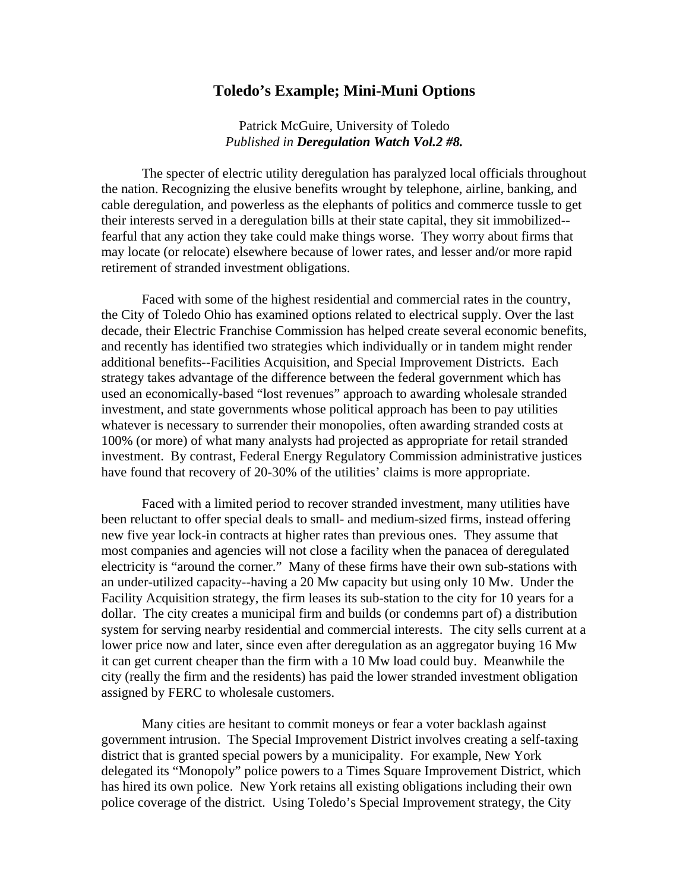## **Toledo's Example; Mini-Muni Options**

Patrick McGuire, University of Toledo *Published in Deregulation Watch Vol.2 #8.* 

 The specter of electric utility deregulation has paralyzed local officials throughout the nation. Recognizing the elusive benefits wrought by telephone, airline, banking, and cable deregulation, and powerless as the elephants of politics and commerce tussle to get their interests served in a deregulation bills at their state capital, they sit immobilized- fearful that any action they take could make things worse. They worry about firms that may locate (or relocate) elsewhere because of lower rates, and lesser and/or more rapid retirement of stranded investment obligations.

 Faced with some of the highest residential and commercial rates in the country, the City of Toledo Ohio has examined options related to electrical supply. Over the last decade, their Electric Franchise Commission has helped create several economic benefits, and recently has identified two strategies which individually or in tandem might render additional benefits--Facilities Acquisition, and Special Improvement Districts. Each strategy takes advantage of the difference between the federal government which has used an economically-based "lost revenues" approach to awarding wholesale stranded investment, and state governments whose political approach has been to pay utilities whatever is necessary to surrender their monopolies, often awarding stranded costs at 100% (or more) of what many analysts had projected as appropriate for retail stranded investment. By contrast, Federal Energy Regulatory Commission administrative justices have found that recovery of 20-30% of the utilities' claims is more appropriate.

 Faced with a limited period to recover stranded investment, many utilities have been reluctant to offer special deals to small- and medium-sized firms, instead offering new five year lock-in contracts at higher rates than previous ones. They assume that most companies and agencies will not close a facility when the panacea of deregulated electricity is "around the corner." Many of these firms have their own sub-stations with an under-utilized capacity--having a 20 Mw capacity but using only 10 Mw. Under the Facility Acquisition strategy, the firm leases its sub-station to the city for 10 years for a dollar. The city creates a municipal firm and builds (or condemns part of) a distribution system for serving nearby residential and commercial interests. The city sells current at a lower price now and later, since even after deregulation as an aggregator buying 16 Mw it can get current cheaper than the firm with a 10 Mw load could buy. Meanwhile the city (really the firm and the residents) has paid the lower stranded investment obligation assigned by FERC to wholesale customers.

 Many cities are hesitant to commit moneys or fear a voter backlash against government intrusion. The Special Improvement District involves creating a self-taxing district that is granted special powers by a municipality. For example, New York delegated its "Monopoly" police powers to a Times Square Improvement District, which has hired its own police. New York retains all existing obligations including their own police coverage of the district. Using Toledo's Special Improvement strategy, the City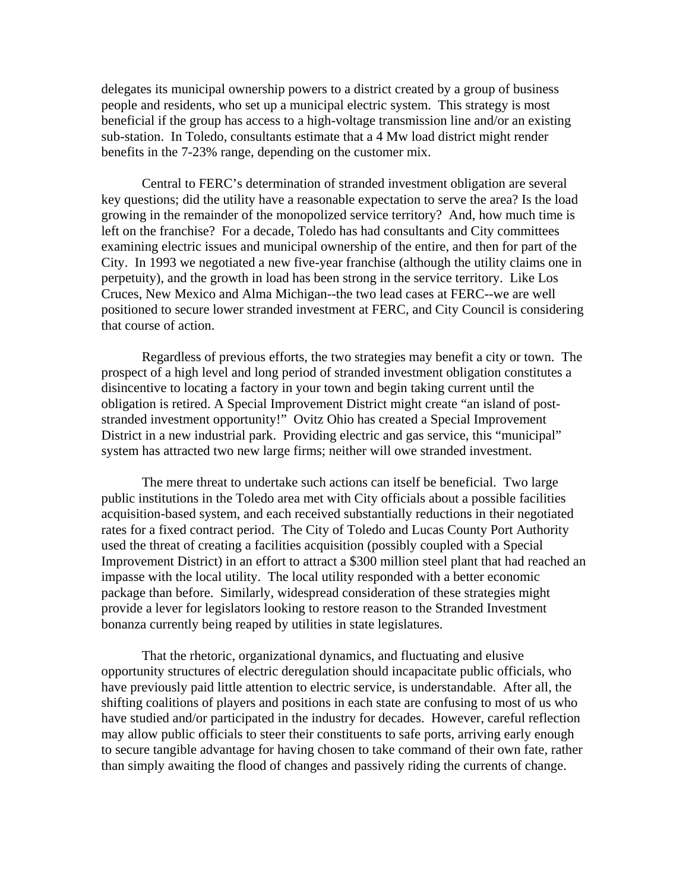delegates its municipal ownership powers to a district created by a group of business people and residents, who set up a municipal electric system. This strategy is most beneficial if the group has access to a high-voltage transmission line and/or an existing sub-station. In Toledo, consultants estimate that a 4 Mw load district might render benefits in the 7-23% range, depending on the customer mix.

Central to FERC's determination of stranded investment obligation are several key questions; did the utility have a reasonable expectation to serve the area? Is the load growing in the remainder of the monopolized service territory? And, how much time is left on the franchise? For a decade, Toledo has had consultants and City committees examining electric issues and municipal ownership of the entire, and then for part of the City. In 1993 we negotiated a new five-year franchise (although the utility claims one in perpetuity), and the growth in load has been strong in the service territory. Like Los Cruces, New Mexico and Alma Michigan--the two lead cases at FERC--we are well positioned to secure lower stranded investment at FERC, and City Council is considering that course of action.

 Regardless of previous efforts, the two strategies may benefit a city or town. The prospect of a high level and long period of stranded investment obligation constitutes a disincentive to locating a factory in your town and begin taking current until the obligation is retired. A Special Improvement District might create "an island of poststranded investment opportunity!" Ovitz Ohio has created a Special Improvement District in a new industrial park. Providing electric and gas service, this "municipal" system has attracted two new large firms; neither will owe stranded investment.

 The mere threat to undertake such actions can itself be beneficial. Two large public institutions in the Toledo area met with City officials about a possible facilities acquisition-based system, and each received substantially reductions in their negotiated rates for a fixed contract period. The City of Toledo and Lucas County Port Authority used the threat of creating a facilities acquisition (possibly coupled with a Special Improvement District) in an effort to attract a \$300 million steel plant that had reached an impasse with the local utility. The local utility responded with a better economic package than before. Similarly, widespread consideration of these strategies might provide a lever for legislators looking to restore reason to the Stranded Investment bonanza currently being reaped by utilities in state legislatures.

 That the rhetoric, organizational dynamics, and fluctuating and elusive opportunity structures of electric deregulation should incapacitate public officials, who have previously paid little attention to electric service, is understandable. After all, the shifting coalitions of players and positions in each state are confusing to most of us who have studied and/or participated in the industry for decades. However, careful reflection may allow public officials to steer their constituents to safe ports, arriving early enough to secure tangible advantage for having chosen to take command of their own fate, rather than simply awaiting the flood of changes and passively riding the currents of change.